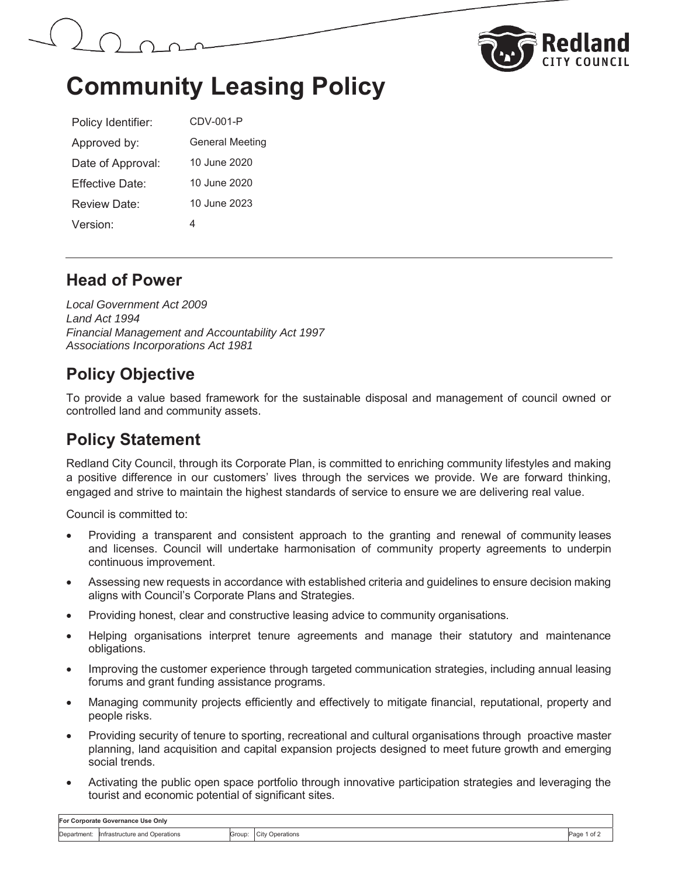



# **Community Leasing Policy**

| Policy Identifier: | CDV-001-P              |  |  |
|--------------------|------------------------|--|--|
| Approved by:       | <b>General Meeting</b> |  |  |
| Date of Approval:  | 10 June 2020           |  |  |
| Fffective Date:    | 10 June 2020           |  |  |
| Review Date:       | 10 June 2023           |  |  |
| Version:           | 4                      |  |  |

#### **Head of Power**

*Local Government Act 2009 Land Act 1994 Financial Management and Accountability Act 1997 Associations Incorporations Act 1981*

### **Policy Objective**

To provide a value based framework for the sustainable disposal and management of council owned or controlled land and community assets.

### **Policy Statement**

Redland City Council, through its Corporate Plan, is committed to enriching community lifestyles and making a positive difference in our customers' lives through the services we provide. We are forward thinking, engaged and strive to maintain the highest standards of service to ensure we are delivering real value.

Council is committed to:

- Providing a transparent and consistent approach to the granting and renewal of community leases and licenses. Council will undertake harmonisation of community property agreements to underpin continuous improvement.
- Assessing new requests in accordance with established criteria and guidelines to ensure decision making aligns with Council's Corporate Plans and Strategies.
- Providing honest, clear and constructive leasing advice to community organisations.
- Helping organisations interpret tenure agreements and manage their statutory and maintenance obligations.
- Improving the customer experience through targeted communication strategies, including annual leasing forums and grant funding assistance programs.
- Managing community projects efficiently and effectively to mitigate financial, reputational, property and people risks.
- Providing security of tenure to sporting, recreational and cultural organisations through proactive master planning, land acquisition and capital expansion projects designed to meet future growth and emerging social trends.
- Activating the public open space portfolio through innovative participation strategies and leveraging the tourist and economic potential of significant sites.

| For Corporate Governance Use Only |                               |        |                        |                    |  |  |
|-----------------------------------|-------------------------------|--------|------------------------|--------------------|--|--|
| Department:                       | Infrastructure and Operations | Group: | <b>City Operations</b> | Page 1 of <u>'</u> |  |  |